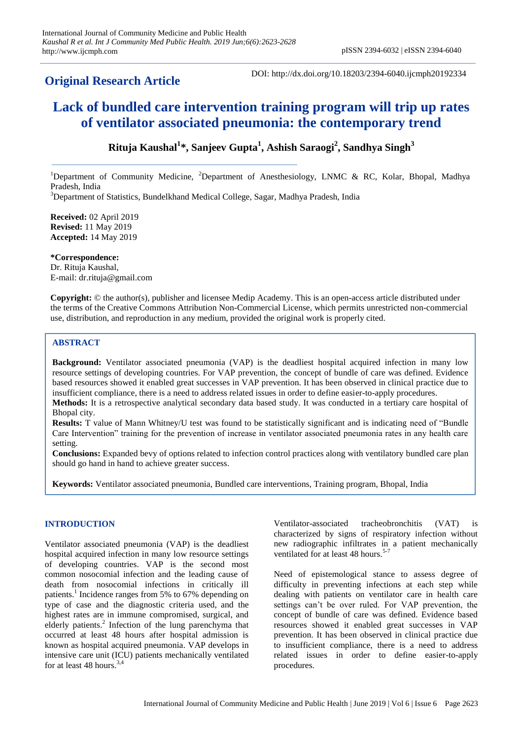# **Original Research Article**

DOI: http://dx.doi.org/10.18203/2394-6040.ijcmph20192334

# **Lack of bundled care intervention training program will trip up rates of ventilator associated pneumonia: the contemporary trend**

# **Rituja Kaushal<sup>1</sup> \*, Sanjeev Gupta<sup>1</sup> , Ashish Saraogi<sup>2</sup> , Sandhya Singh<sup>3</sup>**

<sup>1</sup>Department of Community Medicine, <sup>2</sup>Department of Anesthesiology, LNMC & RC, Kolar, Bhopal, Madhya Pradesh, India

<sup>3</sup>Department of Statistics, Bundelkhand Medical College, Sagar, Madhya Pradesh, India

**Received:** 02 April 2019 **Revised:** 11 May 2019 **Accepted:** 14 May 2019

**\*Correspondence:** Dr. Rituja Kaushal, E-mail: dr.rituja@gmail.com

**Copyright:** © the author(s), publisher and licensee Medip Academy. This is an open-access article distributed under the terms of the Creative Commons Attribution Non-Commercial License, which permits unrestricted non-commercial use, distribution, and reproduction in any medium, provided the original work is properly cited.

# **ABSTRACT**

**Background:** Ventilator associated pneumonia (VAP) is the deadliest hospital acquired infection in many low resource settings of developing countries. For VAP prevention, the concept of bundle of care was defined. Evidence based resources showed it enabled great successes in VAP prevention. It has been observed in clinical practice due to insufficient compliance, there is a need to address related issues in order to define easier-to-apply procedures.

**Methods:** It is a retrospective analytical secondary data based study. It was conducted in a tertiary care hospital of Bhopal city.

**Results:** T value of Mann Whitney/U test was found to be statistically significant and is indicating need of "Bundle" Care Intervention" training for the prevention of increase in ventilator associated pneumonia rates in any health care setting.

**Conclusions:** Expanded bevy of options related to infection control practices along with ventilatory bundled care plan should go hand in hand to achieve greater success.

**Keywords:** Ventilator associated pneumonia, Bundled care interventions, Training program, Bhopal, India

## **INTRODUCTION**

Ventilator associated pneumonia (VAP) is the deadliest hospital acquired infection in many low resource settings of developing countries. VAP is the second most common nosocomial infection and the leading cause of death from nosocomial infections in critically ill patients.<sup>1</sup> Incidence ranges from 5% to 67% depending on type of case and the diagnostic criteria used, and the highest rates are in immune compromised, surgical, and elderly patients.<sup>2</sup> Infection of the lung parenchyma that occurred at least 48 hours after hospital admission is known as hospital acquired pneumonia. VAP develops in intensive care unit (ICU) patients mechanically ventilated for at least 48 hours.  $3,4$ 

Ventilator-associated tracheobronchitis (VAT) is characterized by signs of respiratory infection without new radiographic infiltrates in a patient mechanically ventilated for at least 48 hours.<sup>5-7</sup>

Need of epistemological stance to assess degree of difficulty in preventing infections at each step while dealing with patients on ventilator care in health care settings can't be over ruled. For VAP prevention, the concept of bundle of care was defined. Evidence based resources showed it enabled great successes in VAP prevention. It has been observed in clinical practice due to insufficient compliance, there is a need to address related issues in order to define easier-to-apply procedures.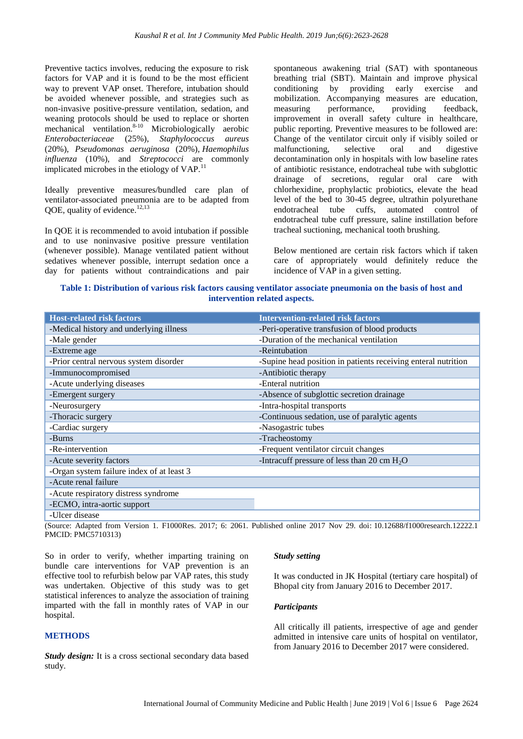Preventive tactics involves, reducing the exposure to risk factors for VAP and it is found to be the most efficient way to prevent VAP onset. Therefore, intubation should be avoided whenever possible, and strategies such as non-invasive positive-pressure ventilation, sedation, and weaning protocols should be used to replace or shorten mechanical ventilation.<sup>8-10</sup> Microbiologically aerobic *Enterobacteriaceae* (25%), *Staphylococcus aureus*  (20%), *Pseudomonas aeruginosa* (20%), *Haemophilus influenza* (10%), and *Streptococci* are commonly implicated microbes in the etiology of VAP.<sup>1</sup>

Ideally preventive measures/bundled care plan of ventilator-associated pneumonia are to be adapted from QOE, quality of evidence. $12,13$ 

In QOE it is recommended to avoid intubation if possible and to use noninvasive positive pressure ventilation (whenever possible). Manage ventilated patient without sedatives whenever possible, interrupt sedation once a day for patients without contraindications and pair spontaneous awakening trial (SAT) with spontaneous breathing trial (SBT). Maintain and improve physical conditioning by providing early exercise and mobilization. Accompanying measures are education, measuring performance, providing feedback, improvement in overall safety culture in healthcare, public reporting. Preventive measures to be followed are: Change of the ventilator circuit only if visibly soiled or malfunctioning, selective oral and digestive decontamination only in hospitals with low baseline rates of antibiotic resistance, endotracheal tube with subglottic drainage of secretions, regular oral care with chlorhexidine, prophylactic probiotics, elevate the head level of the bed to 30-45 degree, ultrathin polyurethane endotracheal tube cuffs, automated control of endotracheal tube cuff pressure, saline instillation before tracheal suctioning, mechanical tooth brushing.

Below mentioned are certain risk factors which if taken care of appropriately would definitely reduce the incidence of VAP in a given setting.

# **Table 1: Distribution of various risk factors causing ventilator associate pneumonia on the basis of host and intervention related aspects.**

| <b>Host-related risk factors</b>          | <b>Intervention-related risk factors</b>                      |  |
|-------------------------------------------|---------------------------------------------------------------|--|
| -Medical history and underlying illness   | -Peri-operative transfusion of blood products                 |  |
| -Male gender                              | -Duration of the mechanical ventilation                       |  |
| -Extreme age                              | -Reintubation                                                 |  |
| -Prior central nervous system disorder    | -Supine head position in patients receiving enteral nutrition |  |
| -Immunocompromised                        | -Antibiotic therapy                                           |  |
| -Acute underlying diseases                | -Enteral nutrition                                            |  |
| -Emergent surgery                         | -Absence of subglottic secretion drainage                     |  |
| -Neurosurgery                             | -Intra-hospital transports                                    |  |
| -Thoracic surgery                         | -Continuous sedation, use of paralytic agents                 |  |
| -Cardiac surgery                          | -Nasogastric tubes                                            |  |
| -Burns                                    | -Tracheostomy                                                 |  |
| -Re-intervention                          | -Frequent ventilator circuit changes                          |  |
| -Acute severity factors                   | -Intracuff pressure of less than 20 cm $H_2O$                 |  |
| -Organ system failure index of at least 3 |                                                               |  |
| -Acute renal failure                      |                                                               |  |
| -Acute respiratory distress syndrome      |                                                               |  |
| -ECMO, intra-aortic support               |                                                               |  |
| -Ulcer disease                            |                                                               |  |

(Source: Adapted from Version 1. F1000Res. 2017; 6: 2061. Published online 2017 Nov 29. doi: 10.12688/f1000research.12222.1 PMCID: PMC5710313)

So in order to verify, whether imparting training on bundle care interventions for VAP prevention is an effective tool to refurbish below par VAP rates, this study was undertaken. Objective of this study was to get statistical inferences to analyze the association of training imparted with the fall in monthly rates of VAP in our hospital.

#### **METHODS**

*Study design:* It is a cross sectional secondary data based study.

#### *Study setting*

It was conducted in JK Hospital (tertiary care hospital) of Bhopal city from January 2016 to December 2017.

#### *Participants*

All critically ill patients, irrespective of age and gender admitted in intensive care units of hospital on ventilator, from January 2016 to December 2017 were considered.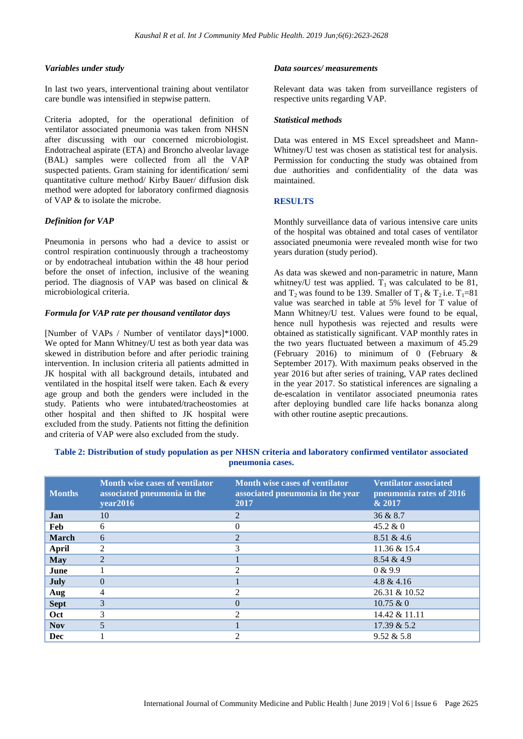#### *Variables under study*

In last two years, interventional training about ventilator care bundle was intensified in stepwise pattern.

Criteria adopted, for the operational definition of ventilator associated pneumonia was taken from NHSN after discussing with our concerned microbiologist. Endotracheal aspirate (ETA) and Broncho alveolar lavage (BAL) samples were collected from all the VAP suspected patients. Gram staining for identification/ semi quantitative culture method/ Kirby Bauer/ diffusion disk method were adopted for laboratory confirmed diagnosis of VAP & to isolate the microbe.

## *Definition for VAP*

Pneumonia in persons who had a device to assist or control respiration continuously through a tracheostomy or by endotracheal intubation within the 48 hour period before the onset of infection, inclusive of the weaning period. The diagnosis of VAP was based on clinical & microbiological criteria.

#### *Formula for VAP rate per thousand ventilator days*

[Number of VAPs / Number of ventilator days]\*1000. We opted for Mann Whitney/U test as both year data was skewed in distribution before and after periodic training intervention. In inclusion criteria all patients admitted in JK hospital with all background details, intubated and ventilated in the hospital itself were taken. Each & every age group and both the genders were included in the study. Patients who were intubated/tracheostomies at other hospital and then shifted to JK hospital were excluded from the study. Patients not fitting the definition and criteria of VAP were also excluded from the study.

#### *Data sources/ measurements*

Relevant data was taken from surveillance registers of respective units regarding VAP.

#### *Statistical methods*

Data was entered in MS Excel spreadsheet and Mann-Whitney/U test was chosen as statistical test for analysis. Permission for conducting the study was obtained from due authorities and confidentiality of the data was maintained.

#### **RESULTS**

Monthly surveillance data of various intensive care units of the hospital was obtained and total cases of ventilator associated pneumonia were revealed month wise for two years duration (study period).

As data was skewed and non-parametric in nature, Mann whitney/U test was applied.  $T_1$  was calculated to be 81, and  $T_2$  was found to be 139. Smaller of  $T_1 \& T_2$  i.e.  $T_1=81$ value was searched in table at 5% level for T value of Mann Whitney/U test. Values were found to be equal, hence null hypothesis was rejected and results were obtained as statistically significant. VAP monthly rates in the two years fluctuated between a maximum of 45.29 (February 2016) to minimum of 0 (February & September 2017). With maximum peaks observed in the year 2016 but after series of training, VAP rates declined in the year 2017. So statistical inferences are signaling a de-escalation in ventilator associated pneumonia rates after deploying bundled care life hacks bonanza along with other routine aseptic precautions.

| <b>Months</b> | Month wise cases of ventilator<br>associated pneumonia in the<br>year2016 | Month wise cases of ventilator<br>associated pneumonia in the year<br>2017 | <b>Ventilator associated</b><br>pneumonia rates of 2016<br>& 2017 |
|---------------|---------------------------------------------------------------------------|----------------------------------------------------------------------------|-------------------------------------------------------------------|
| <b>Jan</b>    | 10                                                                        | 2                                                                          | 36 & 8.7                                                          |
| Feb           | 6                                                                         | 0                                                                          | $45.2 \& 0$                                                       |
| <b>March</b>  | 6                                                                         | $\overline{\mathcal{L}}$                                                   | 8.51 & 4.6                                                        |
| <b>April</b>  | 2                                                                         | 3                                                                          | 11.36 & 15.4                                                      |
| <b>May</b>    | $\overline{2}$                                                            |                                                                            | 8.54 & 4.9                                                        |
| June          |                                                                           | $\mathfrak{D}$                                                             | 0 & 9.9                                                           |
| July          | $\Omega$                                                                  |                                                                            | 4.8 & 4.16                                                        |
| Aug           | 4                                                                         | $\mathfrak{D}$                                                             | 26.31 & 10.52                                                     |
| <b>Sept</b>   | 3                                                                         | $\Omega$                                                                   | 10.75 &0                                                          |
| <b>Oct</b>    | 3                                                                         | $\mathcal{D}$                                                              | 14.42 & 11.11                                                     |
| <b>Nov</b>    | 5                                                                         |                                                                            | 17.39 & 5.2                                                       |
| <b>Dec</b>    |                                                                           | 2                                                                          | 9.52 & 5.8                                                        |

# **Table 2: Distribution of study population as per NHSN criteria and laboratory confirmed ventilator associated pneumonia cases.**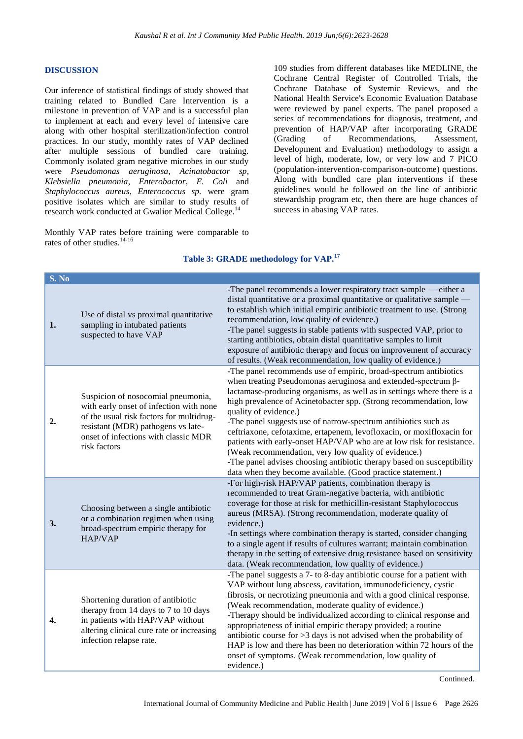#### **DISCUSSION**

Our inference of statistical findings of study showed that training related to Bundled Care Intervention is a milestone in prevention of VAP and is a successful plan to implement at each and every level of intensive care along with other hospital sterilization/infection control practices. In our study, monthly rates of VAP declined after multiple sessions of bundled care training. Commonly isolated gram negative microbes in our study were *Pseudomonas aeruginosa*, *Acinatobactor sp*, *Klebsiella pneumonia*, *Enterobactor*, *E. Coli* and *Staphylococcus aureus*, *Enterococcus sp.* were gram positive isolates which are similar to study results of research work conducted at Gwalior Medical College.<sup>14</sup>

Monthly VAP rates before training were comparable to rates of other studies.<sup>14-16</sup>

109 studies from different databases like MEDLINE, the Cochrane Central Register of Controlled Trials, the Cochrane Database of Systemic Reviews, and the National Health Service's Economic Evaluation Database were reviewed by panel experts. The panel proposed a series of recommendations for diagnosis, treatment, and prevention of HAP/VAP after incorporating GRADE (Grading of Recommendations, Assessment, Development and Evaluation) methodology to assign a level of high, moderate, low, or very low and 7 PICO (population-intervention-comparison-outcome) questions. Along with bundled care plan interventions if these guidelines would be followed on the line of antibiotic stewardship program etc, then there are huge chances of success in abasing VAP rates.

#### **Table 3: GRADE methodology for VAP.<sup>17</sup>**

| S. No            |                                                                                                                                                                                                                         |                                                                                                                                                                                                                                                                                                                                                                                                                                                                                                                                                                                                                                                                                                                                |
|------------------|-------------------------------------------------------------------------------------------------------------------------------------------------------------------------------------------------------------------------|--------------------------------------------------------------------------------------------------------------------------------------------------------------------------------------------------------------------------------------------------------------------------------------------------------------------------------------------------------------------------------------------------------------------------------------------------------------------------------------------------------------------------------------------------------------------------------------------------------------------------------------------------------------------------------------------------------------------------------|
| 1.               | Use of distal vs proximal quantitative<br>sampling in intubated patients<br>suspected to have VAP                                                                                                                       | -The panel recommends a lower respiratory tract sample — either a<br>distal quantitative or a proximal quantitative or qualitative sample —<br>to establish which initial empiric antibiotic treatment to use. (Strong<br>recommendation, low quality of evidence.)<br>-The panel suggests in stable patients with suspected VAP, prior to<br>starting antibiotics, obtain distal quantitative samples to limit<br>exposure of antibiotic therapy and focus on improvement of accuracy<br>of results. (Weak recommendation, low quality of evidence.)                                                                                                                                                                          |
| 2.               | Suspicion of nosocomial pneumonia,<br>with early onset of infection with none<br>of the usual risk factors for multidrug-<br>resistant (MDR) pathogens vs late-<br>onset of infections with classic MDR<br>risk factors | -The panel recommends use of empiric, broad-spectrum antibiotics<br>when treating Pseudomonas aeruginosa and extended-spectrum β-<br>lactamase-producing organisms, as well as in settings where there is a<br>high prevalence of Acinetobacter spp. (Strong recommendation, low<br>quality of evidence.)<br>-The panel suggests use of narrow-spectrum antibiotics such as<br>ceftriaxone, cefotaxime, ertapenem, levofloxacin, or moxifloxacin for<br>patients with early-onset HAP/VAP who are at low risk for resistance.<br>(Weak recommendation, very low quality of evidence.)<br>-The panel advises choosing antibiotic therapy based on susceptibility<br>data when they become available. (Good practice statement.) |
| 3.               | Choosing between a single antibiotic<br>or a combination regimen when using<br>broad-spectrum empiric therapy for<br>HAP/VAP                                                                                            | -For high-risk HAP/VAP patients, combination therapy is<br>recommended to treat Gram-negative bacteria, with antibiotic<br>coverage for those at risk for methicillin-resistant Staphylococcus<br>aureus (MRSA). (Strong recommendation, moderate quality of<br>evidence.)<br>-In settings where combination therapy is started, consider changing<br>to a single agent if results of cultures warrant; maintain combination<br>therapy in the setting of extensive drug resistance based on sensitivity<br>data. (Weak recommendation, low quality of evidence.)                                                                                                                                                              |
| $\overline{4}$ . | Shortening duration of antibiotic<br>therapy from 14 days to 7 to 10 days<br>in patients with HAP/VAP without<br>altering clinical cure rate or increasing<br>infection relapse rate.                                   | -The panel suggests a 7- to 8-day antibiotic course for a patient with<br>VAP without lung abscess, cavitation, immunodeficiency, cystic<br>fibrosis, or necrotizing pneumonia and with a good clinical response.<br>(Weak recommendation, moderate quality of evidence.)<br>-Therapy should be individualized according to clinical response and<br>appropriateness of initial empiric therapy provided; a routine<br>antibiotic course for $>3$ days is not advised when the probability of<br>HAP is low and there has been no deterioration within 72 hours of the<br>onset of symptoms. (Weak recommendation, low quality of<br>evidence.)                                                                                |

Continued.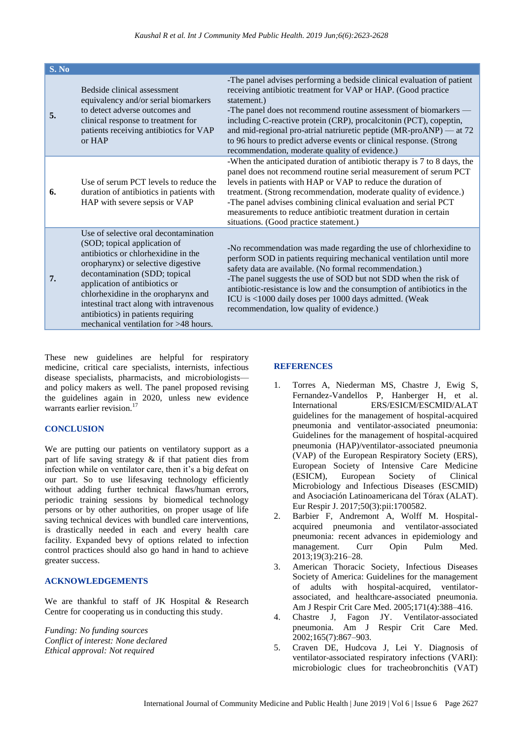| S. No |                                                                                                                                                                                                                                                                                                                                                                                       |                                                                                                                                                                                                                                                                                                                                                                                                                                                                                                    |
|-------|---------------------------------------------------------------------------------------------------------------------------------------------------------------------------------------------------------------------------------------------------------------------------------------------------------------------------------------------------------------------------------------|----------------------------------------------------------------------------------------------------------------------------------------------------------------------------------------------------------------------------------------------------------------------------------------------------------------------------------------------------------------------------------------------------------------------------------------------------------------------------------------------------|
| 5.    | Bedside clinical assessment<br>equivalency and/or serial biomarkers<br>to detect adverse outcomes and<br>clinical response to treatment for<br>patients receiving antibiotics for VAP<br>or HAP                                                                                                                                                                                       | -The panel advises performing a bedside clinical evaluation of patient<br>receiving antibiotic treatment for VAP or HAP. (Good practice<br>statement.)<br>-The panel does not recommend routine assessment of biomarkers —<br>including C-reactive protein (CRP), procalcitonin (PCT), copeptin,<br>and mid-regional pro-atrial natriuretic peptide $(MR-proAND)$ — at 72<br>to 96 hours to predict adverse events or clinical response. (Strong<br>recommendation, moderate quality of evidence.) |
| 6.    | Use of serum PCT levels to reduce the<br>duration of antibiotics in patients with<br>HAP with severe sepsis or VAP                                                                                                                                                                                                                                                                    | -When the anticipated duration of antibiotic therapy is 7 to 8 days, the<br>panel does not recommend routine serial measurement of serum PCT<br>levels in patients with HAP or VAP to reduce the duration of<br>treatment. (Strong recommendation, moderate quality of evidence.)<br>-The panel advises combining clinical evaluation and serial PCT<br>measurements to reduce antibiotic treatment duration in certain<br>situations. (Good practice statement.)                                  |
| 7.    | Use of selective oral decontamination<br>(SOD; topical application of<br>antibiotics or chlorhexidine in the<br>oropharynx) or selective digestive<br>decontamination (SDD; topical<br>application of antibiotics or<br>chlorhexidine in the oropharynx and<br>intestinal tract along with intravenous<br>antibiotics) in patients requiring<br>mechanical ventilation for >48 hours. | -No recommendation was made regarding the use of chlorhexidine to<br>perform SOD in patients requiring mechanical ventilation until more<br>safety data are available. (No formal recommendation.)<br>-The panel suggests the use of SOD but not SDD when the risk of<br>antibiotic-resistance is low and the consumption of antibiotics in the<br>ICU is <1000 daily doses per 1000 days admitted. (Weak<br>recommendation, low quality of evidence.)                                             |

These new guidelines are helpful for respiratory medicine, critical care specialists, internists, infectious disease specialists, pharmacists, and microbiologists and policy makers as well. The panel proposed revising the guidelines again in 2020, unless new evidence warrants earlier revision.<sup>17</sup>

## **CONCLUSION**

We are putting our patients on ventilatory support as a part of life saving strategy & if that patient dies from infection while on ventilator care, then it's a big defeat on our part. So to use lifesaving technology efficiently without adding further technical flaws/human errors, periodic training sessions by biomedical technology persons or by other authorities, on proper usage of life saving technical devices with bundled care interventions, is drastically needed in each and every health care facility. Expanded bevy of options related to infection control practices should also go hand in hand to achieve greater success.

#### **ACKNOWLEDGEMENTS**

We are thankful to staff of JK Hospital & Research Centre for cooperating us in conducting this study.

*Funding: No funding sources Conflict of interest: None declared Ethical approval: Not required*

#### **REFERENCES**

- 1. Torres A, Niederman MS, Chastre J, Ewig S, Fernandez-Vandellos P, Hanberger H, et al. International ERS/ESICM/ESCMID/ALAT guidelines for the management of hospital-acquired pneumonia and ventilator-associated pneumonia: Guidelines for the management of hospital-acquired pneumonia (HAP)/ventilator-associated pneumonia (VAP) of the European Respiratory Society (ERS), European Society of Intensive Care Medicine (ESICM), European Society of Clinical Microbiology and Infectious Diseases (ESCMID) and Asociación Latinoamericana del Tórax (ALAT). Eur Respir J. 2017;50(3):pii:1700582.
- 2. Barbier F, Andremont A, Wolff M. Hospitalacquired pneumonia and ventilator-associated pneumonia: recent advances in epidemiology and management. Curr Opin Pulm Med. 2013;19(3):216–28.
- 3. American Thoracic Society, Infectious Diseases Society of America: Guidelines for the management of adults with hospital-acquired, ventilatorassociated, and healthcare-associated pneumonia. Am J Respir Crit Care Med. 2005;171(4):388–416.
- 4. Chastre J, Fagon JY. Ventilator-associated pneumonia. Am J Respir Crit Care Med. 2002;165(7):867–903.
- 5. Craven DE, Hudcova J, Lei Y. Diagnosis of ventilator-associated respiratory infections (VARI): microbiologic clues for tracheobronchitis (VAT)